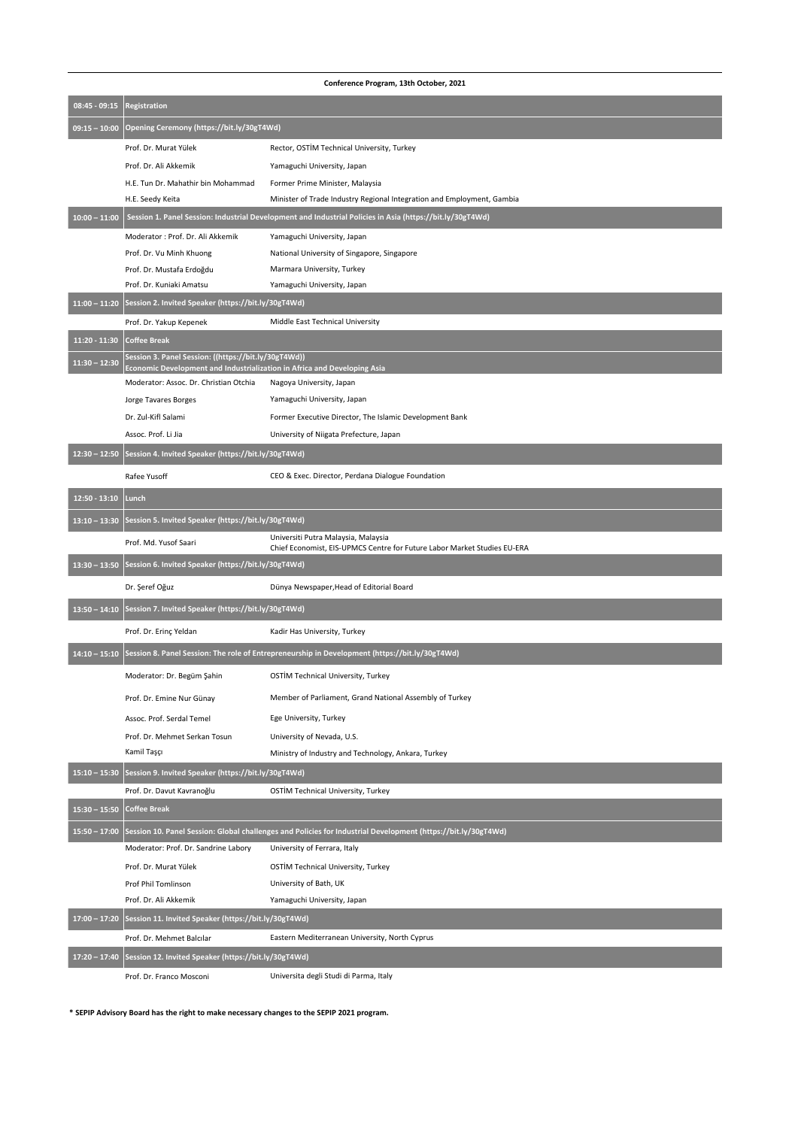| Conference Program, 13th October, 2021 |                                                                                                                                  |                                                                                                                 |  |  |
|----------------------------------------|----------------------------------------------------------------------------------------------------------------------------------|-----------------------------------------------------------------------------------------------------------------|--|--|
| $08:45 - 09:15$                        | <b>Registration</b>                                                                                                              |                                                                                                                 |  |  |
| $09:15 - 10:00$                        | Opening Ceremony (https://bit.ly/30gT4Wd)                                                                                        |                                                                                                                 |  |  |
|                                        | Prof. Dr. Murat Yülek                                                                                                            | Rector, OSTİM Technical University, Turkey                                                                      |  |  |
|                                        | Prof. Dr. Ali Akkemik                                                                                                            | Yamaguchi University, Japan                                                                                     |  |  |
|                                        | H.E. Tun Dr. Mahathir bin Mohammad                                                                                               | Former Prime Minister, Malaysia                                                                                 |  |  |
|                                        | H.E. Seedy Keita                                                                                                                 | Minister of Trade Industry Regional Integration and Employment, Gambia                                          |  |  |
| $10:00 - 11:00$                        |                                                                                                                                  | Session 1. Panel Session: Industrial Development and Industrial Policies in Asia (https://bit.ly/30gT4Wd)       |  |  |
|                                        | Moderator : Prof. Dr. Ali Akkemik                                                                                                | Yamaguchi University, Japan                                                                                     |  |  |
|                                        | Prof. Dr. Vu Minh Khuong                                                                                                         | National University of Singapore, Singapore                                                                     |  |  |
|                                        | Prof. Dr. Mustafa Erdoğdu                                                                                                        | Marmara University, Turkey                                                                                      |  |  |
|                                        | Prof. Dr. Kuniaki Amatsu                                                                                                         | Yamaguchi University, Japan                                                                                     |  |  |
| $11:00 - 11:20$                        | Session 2. Invited Speaker (https://bit.ly/30gT4Wd)                                                                              |                                                                                                                 |  |  |
|                                        | Prof. Dr. Yakup Kepenek                                                                                                          | Middle East Technical University                                                                                |  |  |
| $11:20 - 11:30$                        | <b>Coffee Break</b>                                                                                                              |                                                                                                                 |  |  |
| $11:30 - 12:30$                        | Session 3. Panel Session: ((https://bit.ly/30gT4Wd))<br>Economic Development and Industrialization in Africa and Developing Asia |                                                                                                                 |  |  |
|                                        | Moderator: Assoc. Dr. Christian Otchia                                                                                           | Nagoya University, Japan                                                                                        |  |  |
|                                        | Jorge Tavares Borges                                                                                                             | Yamaguchi University, Japan                                                                                     |  |  |
|                                        | Dr. Zul-Kifl Salami                                                                                                              | Former Executive Director, The Islamic Development Bank                                                         |  |  |
|                                        | Assoc. Prof. Li Jia                                                                                                              | University of Niigata Prefecture, Japan                                                                         |  |  |
| $12:30 - 12:50$                        | Session 4. Invited Speaker (https://bit.ly/30gT4Wd)                                                                              |                                                                                                                 |  |  |
|                                        | Rafee Yusoff                                                                                                                     | CEO & Exec. Director, Perdana Dialogue Foundation                                                               |  |  |
| $12:50 - 13:10$                        | <b>Lunch</b>                                                                                                                     |                                                                                                                 |  |  |
| $13:10 - 13:30$                        | Session 5. Invited Speaker (https://bit.ly/30gT4Wd)                                                                              |                                                                                                                 |  |  |
|                                        | Prof. Md. Yusof Saari                                                                                                            | Universiti Putra Malaysia, Malaysia<br>Chief Economist, EIS-UPMCS Centre for Future Labor Market Studies EU-ERA |  |  |
| $13:30 - 13:50$                        | Session 6. Invited Speaker (https://bit.ly/30gT4Wd)                                                                              |                                                                                                                 |  |  |
|                                        | Dr. Şeref Oğuz                                                                                                                   | Dünya Newspaper, Head of Editorial Board                                                                        |  |  |
| $13:50 - 14:10$                        | Session 7. Invited Speaker (https://bit.ly/30gT4Wd)                                                                              |                                                                                                                 |  |  |
|                                        | Prof. Dr. Erinç Yeldan                                                                                                           | Kadir Has University, Turkey                                                                                    |  |  |
| $14:10 - 15:10$                        |                                                                                                                                  | Session 8. Panel Session: The role of Entrepreneurship in Development (https://bit.ly/30gT4Wd)                  |  |  |
|                                        | Moderator: Dr. Begüm Şahin                                                                                                       | OSTİM Technical University, Turkey                                                                              |  |  |
|                                        | Prof. Dr. Emine Nur Günay                                                                                                        | Member of Parliament, Grand National Assembly of Turkey                                                         |  |  |
|                                        | Assoc. Prof. Serdal Temel                                                                                                        | Ege University, Turkey                                                                                          |  |  |
|                                        | Prof. Dr. Mehmet Serkan Tosun                                                                                                    | University of Nevada, U.S.                                                                                      |  |  |

|                 | Kamil Taşçı                                                                                                   | Ministry of Industry and Technology, Ankara, Turkey |
|-----------------|---------------------------------------------------------------------------------------------------------------|-----------------------------------------------------|
| $15:10 - 15:30$ | Session 9. Invited Speaker (https://bit.ly/30gT4Wd)                                                           |                                                     |
|                 | Prof. Dr. Davut Kavranoğlu                                                                                    | <b>OSTİM Technical University, Turkey</b>           |
| $15:30 - 15:50$ | Coffee Break                                                                                                  |                                                     |
| $15:50 - 17:00$ | Session 10. Panel Session: Global challenges and Policies for Industrial Development (https://bit.ly/30gT4Wd) |                                                     |
|                 | Moderator: Prof. Dr. Sandrine Labory                                                                          | University of Ferrara, Italy                        |
|                 | Prof. Dr. Murat Yülek                                                                                         | <b>OSTIM Technical University, Turkey</b>           |
|                 | <b>Prof Phil Tomlinson</b>                                                                                    | University of Bath, UK                              |
|                 | Prof. Dr. Ali Akkemik                                                                                         | Yamaguchi University, Japan                         |
| $17:00 - 17:20$ | Session 11. Invited Speaker (https://bit.ly/30gT4Wd)                                                          |                                                     |
|                 | Prof. Dr. Mehmet Balcılar                                                                                     | Eastern Mediterranean University, North Cyprus      |
| $17:20 - 17:40$ | Session 12. Invited Speaker (https://bit.ly/30gT4Wd)                                                          |                                                     |
|                 | Prof. Dr. Franco Mosconi                                                                                      | Universita degli Studi di Parma, Italy              |

**\* SEPIP Advisory Board has the right to make necessary changes to the SEPIP 2021 program.**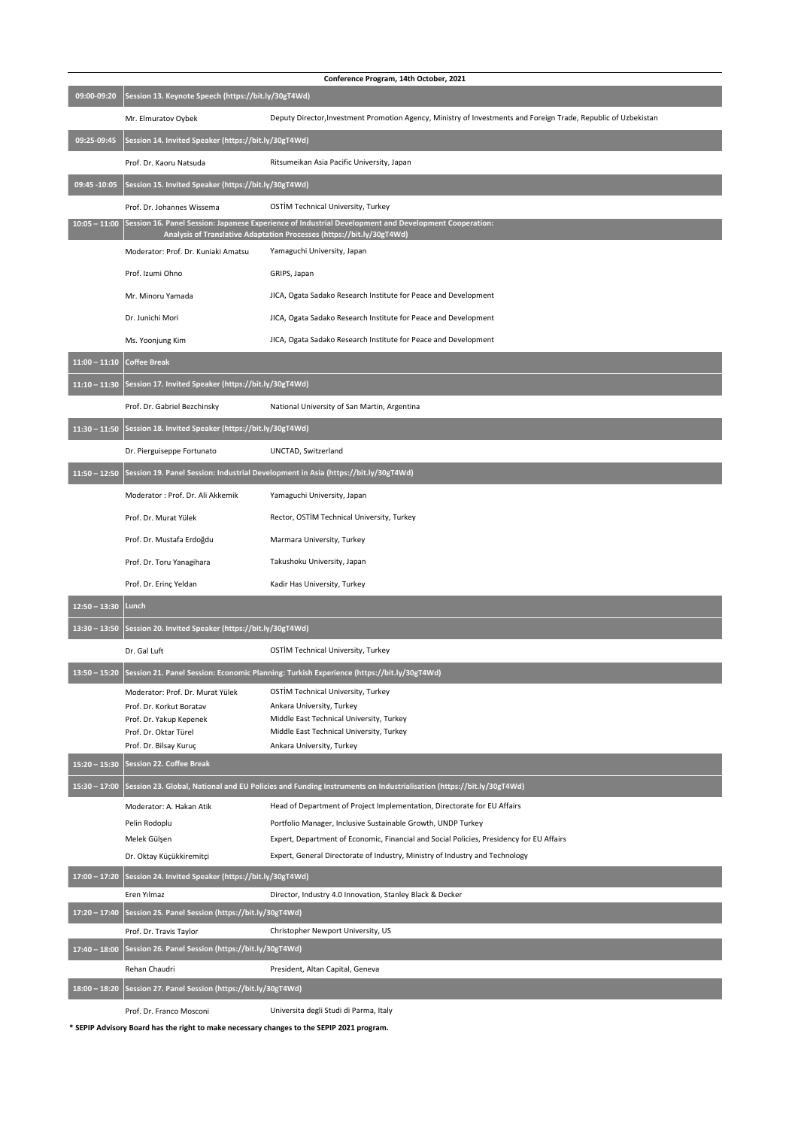| Conference Program, 14th October, 2021 |                                                                               |                                                                                                                                                                                |  |
|----------------------------------------|-------------------------------------------------------------------------------|--------------------------------------------------------------------------------------------------------------------------------------------------------------------------------|--|
| 09:00-09:20                            | Session 13. Keynote Speech (https://bit.ly/30gT4Wd)                           |                                                                                                                                                                                |  |
|                                        | Mr. Elmuratov Oybek                                                           | Deputy Director, Investment Promotion Agency, Ministry of Investments and Foreign Trade, Republic of Uzbekistan                                                                |  |
| 09:25-09:45                            | Session 14. Invited Speaker (https://bit.ly/30gT4Wd)                          |                                                                                                                                                                                |  |
|                                        | Prof. Dr. Kaoru Natsuda                                                       | Ritsumeikan Asia Pacific University, Japan                                                                                                                                     |  |
| 09:45 - 10:05                          | Session 15. Invited Speaker (https://bit.ly/30gT4Wd)                          |                                                                                                                                                                                |  |
|                                        | Prof. Dr. Johannes Wissema                                                    | <b>OSTİM Technical University, Turkey</b>                                                                                                                                      |  |
| $10:05 - 11:00$                        |                                                                               | Session 16. Panel Session: Japanese Experience of Industrial Development and Development Cooperation:<br>Analysis of Translative Adaptation Processes (https://bit.ly/30gT4Wd) |  |
|                                        | Moderator: Prof. Dr. Kuniaki Amatsu                                           | Yamaguchi University, Japan                                                                                                                                                    |  |
|                                        | Prof. Izumi Ohno                                                              | GRIPS, Japan                                                                                                                                                                   |  |
|                                        | Mr. Minoru Yamada                                                             | JICA, Ogata Sadako Research Institute for Peace and Development                                                                                                                |  |
|                                        | Dr. Junichi Mori                                                              | JICA, Ogata Sadako Research Institute for Peace and Development                                                                                                                |  |
|                                        | Ms. Yoonjung Kim                                                              | JICA, Ogata Sadako Research Institute for Peace and Development                                                                                                                |  |
| $11:00 - 11:10$                        | <b>Coffee Break</b>                                                           |                                                                                                                                                                                |  |
| $11:10 - 11:30$                        | Session 17. Invited Speaker (https://bit.ly/30gT4Wd)                          |                                                                                                                                                                                |  |
|                                        | Prof. Dr. Gabriel Bezchinsky                                                  | National University of San Martin, Argentina                                                                                                                                   |  |
| $11:30 - 11:50$                        | Session 18. Invited Speaker (https://bit.ly/30gT4Wd)                          |                                                                                                                                                                                |  |
|                                        | Dr. Pierguiseppe Fortunato                                                    | UNCTAD, Switzerland                                                                                                                                                            |  |
| $11:50 - 12:50$                        |                                                                               | Session 19. Panel Session: Industrial Development in Asia (https://bit.ly/30gT4Wd)                                                                                             |  |
|                                        | Moderator : Prof. Dr. Ali Akkemik                                             | Yamaguchi University, Japan                                                                                                                                                    |  |
|                                        | Prof. Dr. Murat Yülek                                                         | Rector, OSTİM Technical University, Turkey                                                                                                                                     |  |
|                                        | Prof. Dr. Mustafa Erdoğdu                                                     | Marmara University, Turkey                                                                                                                                                     |  |
|                                        | Prof. Dr. Toru Yanagihara                                                     | Takushoku University, Japan                                                                                                                                                    |  |
|                                        | Prof. Dr. Erinç Yeldan                                                        | Kadir Has University, Turkey                                                                                                                                                   |  |
| $12:50 - 13:30$                        | <b>Lunch</b>                                                                  |                                                                                                                                                                                |  |
| $13:30 - 13:50$                        | Session 20. Invited Speaker (https://bit.ly/30gT4Wd)                          |                                                                                                                                                                                |  |
|                                        | Dr. Gal Luft                                                                  | <b>OSTİM Technical University, Turkey</b>                                                                                                                                      |  |
| $13:50 - 15:20$                        |                                                                               | Session 21. Panel Session: Economic Planning: Turkish Experience (https://bit.ly/30gT4Wd)                                                                                      |  |
|                                        | Moderator: Prof. Dr. Murat Yülek<br>Prof. Dr. Korkut Boratav                  | <b>OSTİM Technical University, Turkey</b><br>Ankara University, Turkey                                                                                                         |  |
|                                        | Prof. Dr. Yakup Kepenek                                                       | Middle East Technical University, Turkey                                                                                                                                       |  |
|                                        | Prof. Dr. Oktar Türel                                                         | Middle East Technical University, Turkey<br>Ankara University, Turkey                                                                                                          |  |
| $15:20 - 15:30$                        | Prof. Dr. Bilsay Kuruç<br><b>Session 22. Coffee Break</b>                     |                                                                                                                                                                                |  |
| $15:30 - 17:00$                        |                                                                               | Session 23. Global, National and EU Policies and Funding Instruments on Industrialisation (https://bit.ly/30gT4Wd)                                                             |  |
|                                        | Moderator: A. Hakan Atik                                                      | Head of Department of Project Implementation, Directorate for EU Affairs                                                                                                       |  |
|                                        | Pelin Rodoplu                                                                 | Portfolio Manager, Inclusive Sustainable Growth, UNDP Turkey                                                                                                                   |  |
|                                        | Melek Gülşen                                                                  | Expert, Department of Economic, Financial and Social Policies, Presidency for EU Affairs                                                                                       |  |
|                                        | Dr. Oktay Küçükkiremitçi                                                      | Expert, General Directorate of Industry, Ministry of Industry and Technology                                                                                                   |  |
| $17:00 - 17:20$                        | Session 24. Invited Speaker (https://bit.ly/30gT4Wd)                          |                                                                                                                                                                                |  |
|                                        | Eren Yılmaz                                                                   | Director, Industry 4.0 Innovation, Stanley Black & Decker                                                                                                                      |  |
| $17:20 - 17:40$                        | Session 25. Panel Session (https://bit.ly/30gT4Wd)<br>Prof. Dr. Travis Taylor | Christopher Newport University, US                                                                                                                                             |  |
| $17:40 - 18:00$                        | Session 26. Panel Session (https://bit.ly/30gT4Wd)                            |                                                                                                                                                                                |  |
|                                        | Rehan Chaudri                                                                 | President, Altan Capital, Geneva                                                                                                                                               |  |
| $18:00 - 18:20$                        | Session 27. Panel Session (https://bit.ly/30gT4Wd)                            |                                                                                                                                                                                |  |
|                                        | Prof. Dr. Franco Mosconi                                                      | Universita degli Studi di Parma, Italy                                                                                                                                         |  |

**\* SEPIP Advisory Board has the right to make necessary changes to the SEPIP 2021 program.**